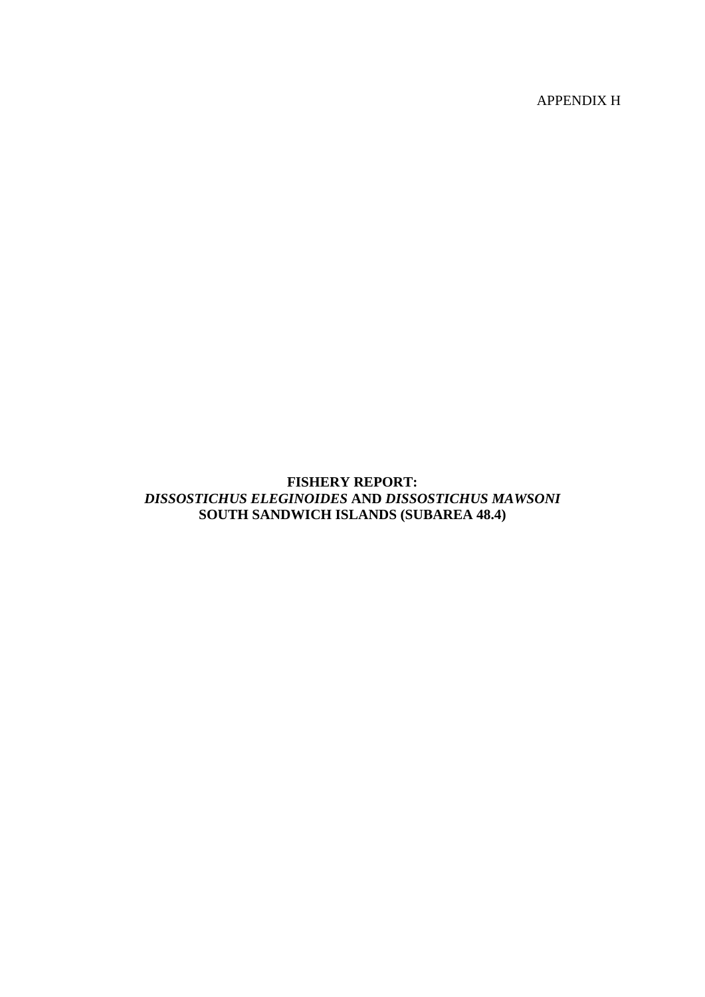APPENDIX H

# **FISHERY REPORT:** *DISSOSTICHUS ELEGINOIDES* **AND** *DISSOSTICHUS MAWSONI* **SOUTH SANDWICH ISLANDS (SUBAREA 48.4)**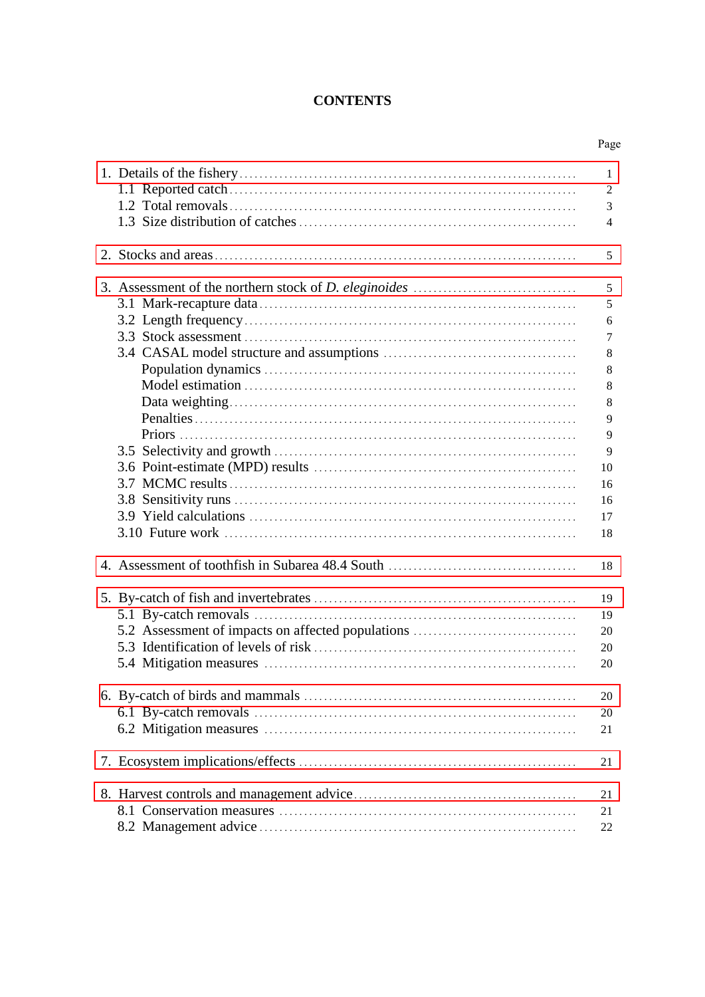# **CONTENTS**

| 1<br>2<br>3<br>$\overline{4}$<br>5<br>5                 |
|---------------------------------------------------------|
|                                                         |
|                                                         |
|                                                         |
|                                                         |
|                                                         |
|                                                         |
|                                                         |
| 5                                                       |
| 6                                                       |
| 7                                                       |
| 8                                                       |
| 8                                                       |
| 8                                                       |
| 8                                                       |
| 9                                                       |
| 9                                                       |
| 9                                                       |
| 10                                                      |
| 16                                                      |
| 16                                                      |
| 17                                                      |
|                                                         |
| 18                                                      |
| 18                                                      |
| 19                                                      |
| 19                                                      |
| 5.2 Assessment of impacts on affected populations<br>20 |
| 20                                                      |
| 20                                                      |
|                                                         |
| 20                                                      |
|                                                         |
| 20                                                      |
| 21                                                      |
| 21                                                      |
| 21                                                      |
| 21                                                      |
| 22                                                      |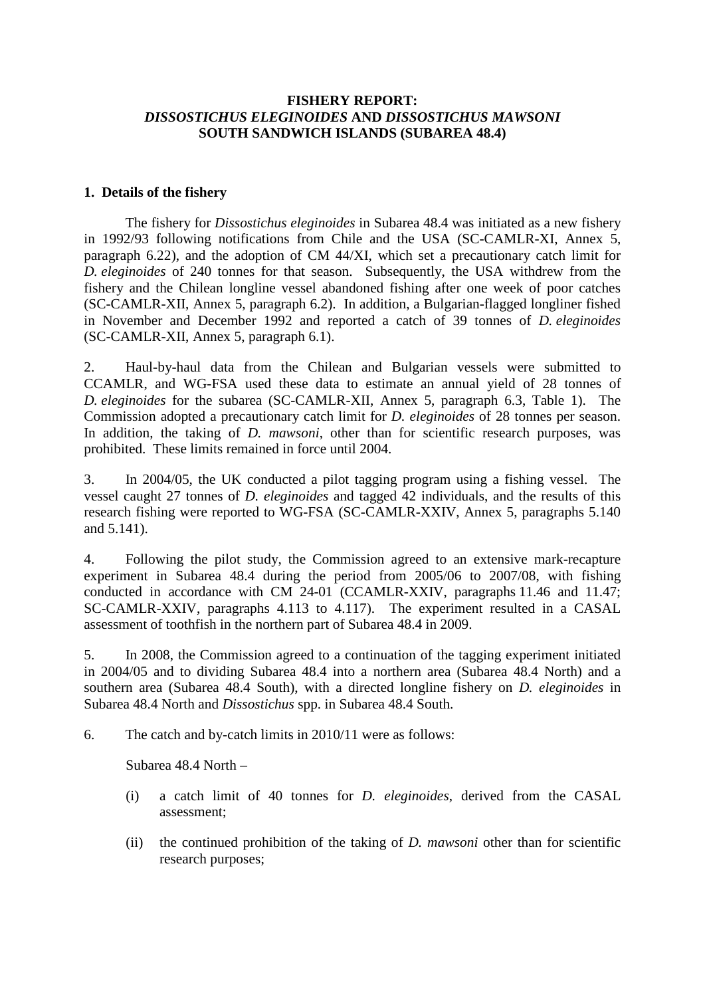## <span id="page-2-0"></span>**FISHERY REPORT:**  *DISSOSTICHUS ELEGINOIDES* **AND** *DISSOSTICHUS MAWSONI* **SOUTH SANDWICH ISLANDS (SUBAREA 48.4)**

#### **1. Details of the fishery**

The fishery for *Dissostichus eleginoides* in Subarea 48.4 was initiated as a new fishery in 1992/93 following notifications from Chile and the USA (SC-CAMLR-XI, Annex 5, paragraph 6.22), and the adoption of CM 44/XI, which set a precautionary catch limit for *D. eleginoides* of 240 tonnes for that season. Subsequently, the USA withdrew from the fishery and the Chilean longline vessel abandoned fishing after one week of poor catches (SC-CAMLR-XII, Annex 5, paragraph 6.2). In addition, a Bulgarian-flagged longliner fished in November and December 1992 and reported a catch of 39 tonnes of *D. eleginoides* (SC-CAMLR-XII, Annex 5, paragraph 6.1).

2. Haul-by-haul data from the Chilean and Bulgarian vessels were submitted to CCAMLR, and WG-FSA used these data to estimate an annual yield of 28 tonnes of *D. eleginoides* for the subarea (SC-CAMLR-XII, Annex 5, paragraph 6.3, Table 1). The Commission adopted a precautionary catch limit for *D. eleginoides* of 28 tonnes per season. In addition, the taking of *D. mawsoni*, other than for scientific research purposes, was prohibited. These limits remained in force until 2004.

3. In 2004/05, the UK conducted a pilot tagging program using a fishing vessel. The vessel caught 27 tonnes of *D. eleginoides* and tagged 42 individuals, and the results of this research fishing were reported to WG-FSA (SC-CAMLR-XXIV, Annex 5, paragraphs 5.140 and 5.141).

4. Following the pilot study, the Commission agreed to an extensive mark-recapture experiment in Subarea 48.4 during the period from 2005/06 to 2007/08, with fishing conducted in accordance with CM 24-01 (CCAMLR-XXIV, paragraphs 11.46 and 11.47; SC-CAMLR-XXIV, paragraphs 4.113 to 4.117). The experiment resulted in a CASAL assessment of toothfish in the northern part of Subarea 48.4 in 2009.

5. In 2008, the Commission agreed to a continuation of the tagging experiment initiated in 2004/05 and to dividing Subarea 48.4 into a northern area (Subarea 48.4 North) and a southern area (Subarea 48.4 South), with a directed longline fishery on *D. eleginoides* in Subarea 48.4 North and *Dissostichus* spp. in Subarea 48.4 South.

6. The catch and by-catch limits in 2010/11 were as follows:

Subarea 48.4 North –

- (i) a catch limit of 40 tonnes for *D. eleginoides*, derived from the CASAL assessment;
- (ii) the continued prohibition of the taking of *D. mawsoni* other than for scientific research purposes;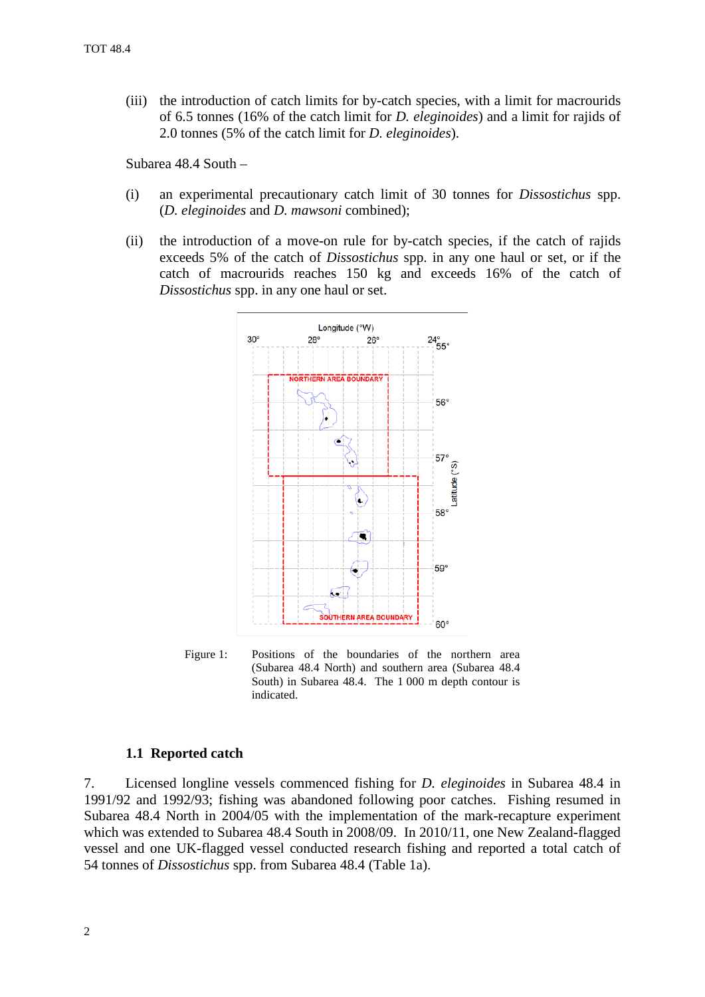(iii) the introduction of catch limits for by-catch species, with a limit for macrourids of 6.5 tonnes (16% of the catch limit for *D. eleginoides*) and a limit for rajids of 2.0 tonnes (5% of the catch limit for *D. eleginoides*).

Subarea 48.4 South –

- (i) an experimental precautionary catch limit of 30 tonnes for *Dissostichus* spp. (*D. eleginoides* and *D. mawsoni* combined);
- (ii) the introduction of a move-on rule for by-catch species, if the catch of rajids exceeds 5% of the catch of *Dissostichus* spp. in any one haul or set, or if the catch of macrourids reaches 150 kg and exceeds 16% of the catch of *Dissostichus* spp. in any one haul or set.



Figure 1: Positions of the boundaries of the northern area (Subarea 48.4 North) and southern area (Subarea 48.4 South) in Subarea 48.4. The 1 000 m depth contour is indicated.

#### **1.1 Reported catch**

7. Licensed longline vessels commenced fishing for *D. eleginoides* in Subarea 48.4 in 1991/92 and 1992/93; fishing was abandoned following poor catches. Fishing resumed in Subarea 48.4 North in 2004/05 with the implementation of the mark-recapture experiment which was extended to Subarea 48.4 South in 2008/09. In 2010/11, one New Zealand-flagged vessel and one UK-flagged vessel conducted research fishing and reported a total catch of 54 tonnes of *Dissostichus* spp. from Subarea 48.4 (Table 1a).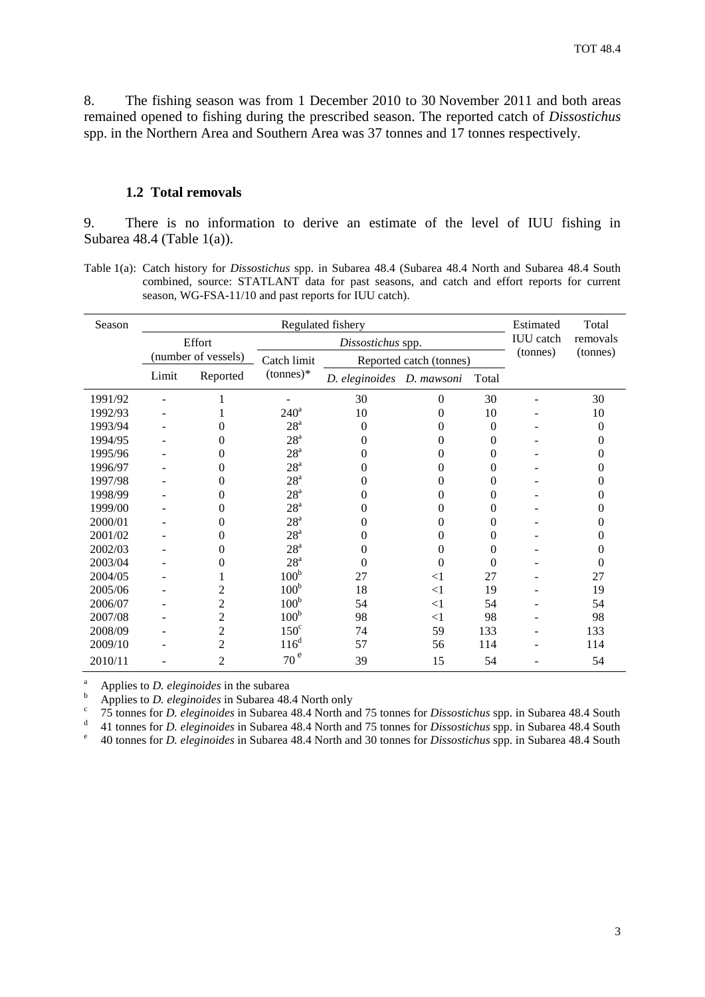8. The fishing season was from 1 December 2010 to 30 November 2011 and both areas remained opened to fishing during the prescribed season. The reported catch of *Dissostichus* spp. in the Northern Area and Southern Area was 37 tonnes and 17 tonnes respectively.

#### **1.2 Total removals**

9. There is no information to derive an estimate of the level of IUU fishing in Subarea 48.4 (Table 1(a)).

Table 1(a): Catch history for *Dissostichus* spp. in Subarea 48.4 (Subarea 48.4 North and Subarea 48.4 South combined, source: STATLANT data for past seasons, and catch and effort reports for current season, WG-FSA-11/10 and past reports for IUU catch).

| Season  | Regulated fishery |                     |                   |                           |                         |          | Estimated        | Total    |
|---------|-------------------|---------------------|-------------------|---------------------------|-------------------------|----------|------------------|----------|
|         | Effort            |                     | Dissostichus spp. |                           |                         |          | <b>IUU</b> catch | removals |
|         |                   | (number of vessels) | Catch limit       |                           | Reported catch (tonnes) |          | (tonnes)         | (tonnes) |
|         | Limit             | Reported            | $(tonnes)*$       | D. eleginoides D. mawsoni |                         | Total    |                  |          |
| 1991/92 |                   |                     |                   | 30                        | $\theta$                | 30       |                  | 30       |
| 1992/93 |                   |                     | $240^a$           | 10                        | 0                       | 10       |                  | 10       |
| 1993/94 |                   | 0                   | 28 <sup>a</sup>   | 0                         | 0                       | $\theta$ |                  | 0        |
| 1994/95 |                   | 0                   | $28^{\rm a}$      | 0                         | 0                       | $\Omega$ |                  | 0        |
| 1995/96 |                   | 0                   | 28 <sup>a</sup>   | 0                         | 0                       | $\Omega$ |                  | 0        |
| 1996/97 |                   | 0                   | 28 <sup>a</sup>   | 0                         | 0                       | $\theta$ |                  | 0        |
| 1997/98 |                   | 0                   | $28^{\rm a}$      | 0                         | 0                       | $\Omega$ |                  | 0        |
| 1998/99 |                   | 0                   | $28^{\mathrm{a}}$ | 0                         | 0                       | $\theta$ |                  | 0        |
| 1999/00 |                   | 0                   | $28^{\mathrm{a}}$ | 0                         | 0                       | $\theta$ |                  | 0        |
| 2000/01 |                   | $\Omega$            | $28^{\rm a}$      | 0                         | 0                       | $\Omega$ |                  | 0        |
| 2001/02 |                   | $\Omega$            | $28^{\rm a}$      | 0                         | $\Omega$                | 0        |                  | 0        |
| 2002/03 |                   | 0                   | $28^{\rm a}$      | 0                         | 0                       | $\theta$ |                  | 0        |
| 2003/04 |                   | 0                   | 28 <sup>a</sup>   | 0                         | 0                       | $\Omega$ |                  | 0        |
| 2004/05 |                   |                     | 100 <sup>b</sup>  | 27                        | $<$ 1                   | 27       |                  | 27       |
| 2005/06 |                   | 2                   | 100 <sup>b</sup>  | 18                        | $\leq$ 1                | 19       |                  | 19       |
| 2006/07 |                   | $\overline{2}$      | 100 <sup>b</sup>  | 54                        | $<$ 1                   | 54       |                  | 54       |
| 2007/08 |                   | $\overline{2}$      | 100 <sup>b</sup>  | 98                        | $<$ 1                   | 98       |                  | 98       |
| 2008/09 |                   | $\overline{2}$      | $150^\circ$       | 74                        | 59                      | 133      |                  | 133      |
| 2009/10 |                   | 2                   | $116^d$           | 57                        | 56                      | 114      |                  | 114      |
| 2010/11 |                   | $\mathfrak{2}$      | 70 <sup>e</sup>   | 39                        | 15                      | 54       |                  | 54       |

Applies to *D. eleginoides* in the subarea<br>Applies to *D. eleginoides* in Subarea 48.4 North only<br><sup>c</sup> 75 tonnes for *D. eleginoides* in Subarea 48.4 North and 75 tonnes for *Dissostichus* spp. in Subarea 48.4 South<br><sup>d</sup> 41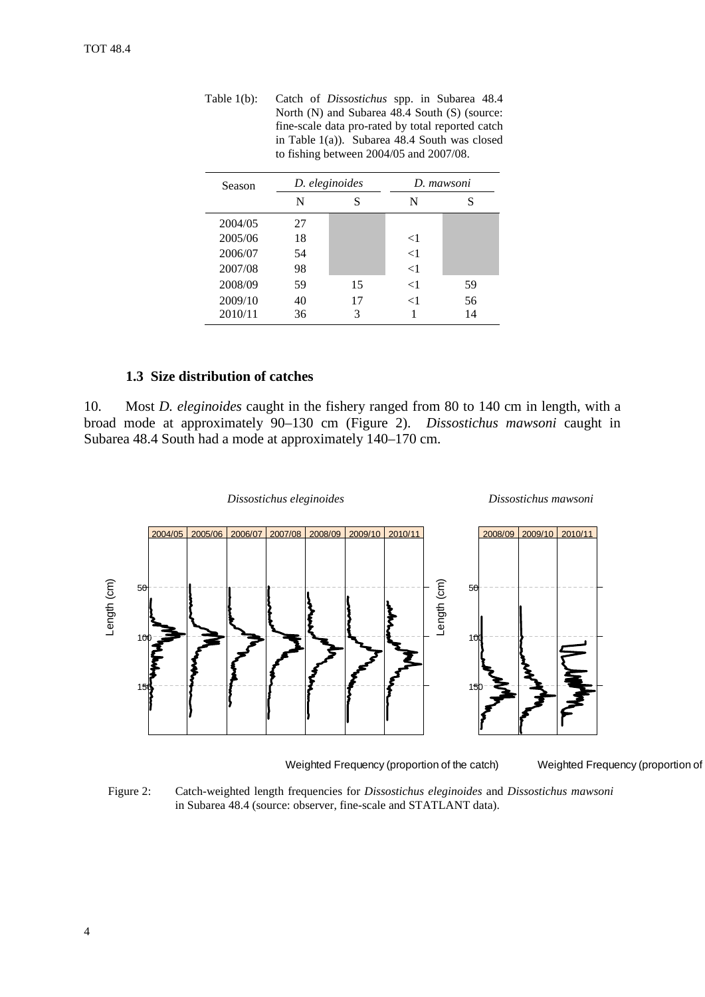| Table 1(b): | Catch of <i>Dissostichus</i> spp. in Subarea 48.4 |
|-------------|---------------------------------------------------|
|             | North $(N)$ and Subarea 48.4 South $(S)$ (source: |
|             | fine-scale data pro-rated by total reported catch |
|             | in Table $1(a)$ ). Subarea 48.4 South was closed  |
|             | to fishing between $2004/05$ and $2007/08$ .      |
|             |                                                   |

| Season  | D. eleginoides |    |          | D. mawsoni |
|---------|----------------|----|----------|------------|
|         | N              | S  | N        | S          |
| 2004/05 | 27             |    |          |            |
| 2005/06 | 18             |    | $<$ 1    |            |
| 2006/07 | 54             |    | $\leq$ 1 |            |
| 2007/08 | 98             |    | $\leq$ 1 |            |
| 2008/09 | 59             | 15 | $\leq$ 1 | 59         |
| 2009/10 | 40             | 17 | $\leq$ 1 | 56         |
| 2010/11 | 36             | 3  |          | 14         |

## **1.3 Size distribution of catches**

10. Most *D. eleginoides* caught in the fishery ranged from 80 to 140 cm in length, with a broad mode at approximately 90–130 cm (Figure 2). *Dissostichus mawsoni* caught in Subarea 48.4 South had a mode at approximately 140–170 cm.



Weighted Frequency (proportion of the catch)

Weighted Frequency (proportion of

Figure 2: Catch-weighted length frequencies for *Dissostichus eleginoides* and *Dissostichus mawsoni* in Subarea 48.4 (source: observer, fine-scale and STATLANT data).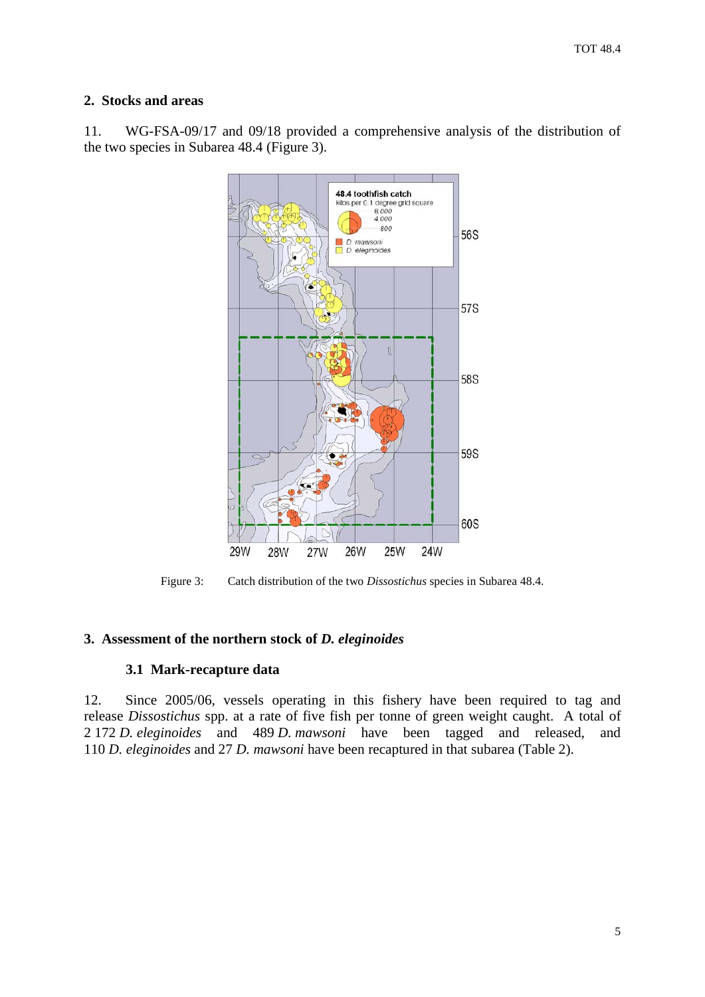## <span id="page-6-0"></span>**2. Stocks and areas**

11. WG-FSA-09/17 and 09/18 provided a comprehensive analysis of the distribution of the two species in Subarea 48.4 (Figure 3).



Figure 3: Catch distribution of the two *Dissostichus* species in Subarea 48.4.

# **3. Assessment of the northern stock of** *D. eleginoides*

# **3.1 Mark-recapture data**

12. Since 2005/06, vessels operating in this fishery have been required to tag and release *Dissostichus* spp. at a rate of five fish per tonne of green weight caught. A total of 2 172 *D. eleginoides* and 489 *D. mawsoni* have been tagged and released, and 110 *D. eleginoides* and 27 *D. mawsoni* have been recaptured in that subarea (Table 2).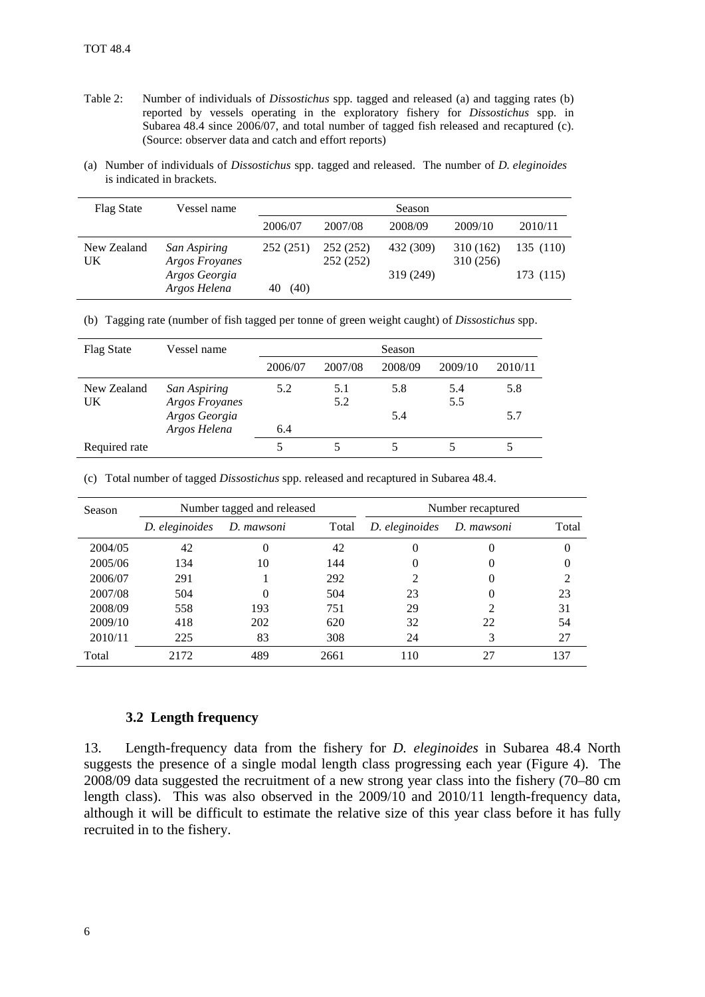- Table 2: Number of individuals of *Dissostichus* spp. tagged and released (a) and tagging rates (b) reported by vessels operating in the exploratory fishery for *Dissostichus* spp. in Subarea 48.4 since 2006/07, and total number of tagged fish released and recaptured (c). (Source: observer data and catch and effort reports)
- (a) Number of individuals of *Dissostichus* spp. tagged and released. The number of *D. eleginoides* is indicated in brackets.

| <b>Flag State</b> | Vessel name                           | Season   |                        |           |                        |           |
|-------------------|---------------------------------------|----------|------------------------|-----------|------------------------|-----------|
|                   |                                       | 2006/07  | 2007/08                | 2008/09   | 2009/10                | 2010/11   |
| New Zealand<br>UK | San Aspiring<br><b>Argos Froyanes</b> | 252(251) | 252 (252)<br>252 (252) | 432 (309) | 310 (162)<br>310 (256) | 135 (110) |
|                   | Argos Georgia<br>Argos Helena         | (40)     |                        | 319 (249) |                        | 173 (115) |

(b) Tagging rate (number of fish tagged per tonne of green weight caught) of *Dissostichus* spp.

| <b>Flag State</b> | Vessel name                           | Season  |            |         |            |         |
|-------------------|---------------------------------------|---------|------------|---------|------------|---------|
|                   |                                       | 2006/07 | 2007/08    | 2008/09 | 2009/10    | 2010/11 |
| New Zealand<br>UK | San Aspiring<br><b>Argos Froyanes</b> | 5.2     | 5.1<br>5.2 | 5.8     | 5.4<br>5.5 | 5.8     |
|                   | Argos Georgia<br>Argos Helena         | 6.4     |            | 5.4     |            | 5.7     |
| Required rate     |                                       |         |            |         |            |         |

(c) Total number of tagged *Dissostichus* spp. released and recaptured in Subarea 48.4.

| Season  | Number tagged and released |              |       |                | Number recaptured |       |
|---------|----------------------------|--------------|-------|----------------|-------------------|-------|
|         | D. eleginoides             | D. mawsoni   | Total | D. eleginoides | D. mawsoni        | Total |
| 2004/05 | 42                         | 0            | 42    | 0              | $\theta$          |       |
| 2005/06 | 134                        | 10           | 144   | $\theta$       | $\theta$          | O     |
| 2006/07 | 291                        |              | 292   | ◠              |                   | 2     |
| 2007/08 | 504                        | $\mathbf{0}$ | 504   | 23             |                   | 23    |
| 2008/09 | 558                        | 193          | 751   | 29             | っ                 | 31    |
| 2009/10 | 418                        | 202          | 620   | 32             | 22                | 54    |
| 2010/11 | 225                        | 83           | 308   | 24             | 3                 | 27    |
| Total   | 2172                       | 489          | 2661  | 110            | 27                | 137   |

#### **3.2 Length frequency**

13. Length-frequency data from the fishery for *D. eleginoides* in Subarea 48.4 North suggests the presence of a single modal length class progressing each year (Figure 4). The 2008/09 data suggested the recruitment of a new strong year class into the fishery (70–80 cm length class). This was also observed in the 2009/10 and 2010/11 length-frequency data, although it will be difficult to estimate the relative size of this year class before it has fully recruited in to the fishery.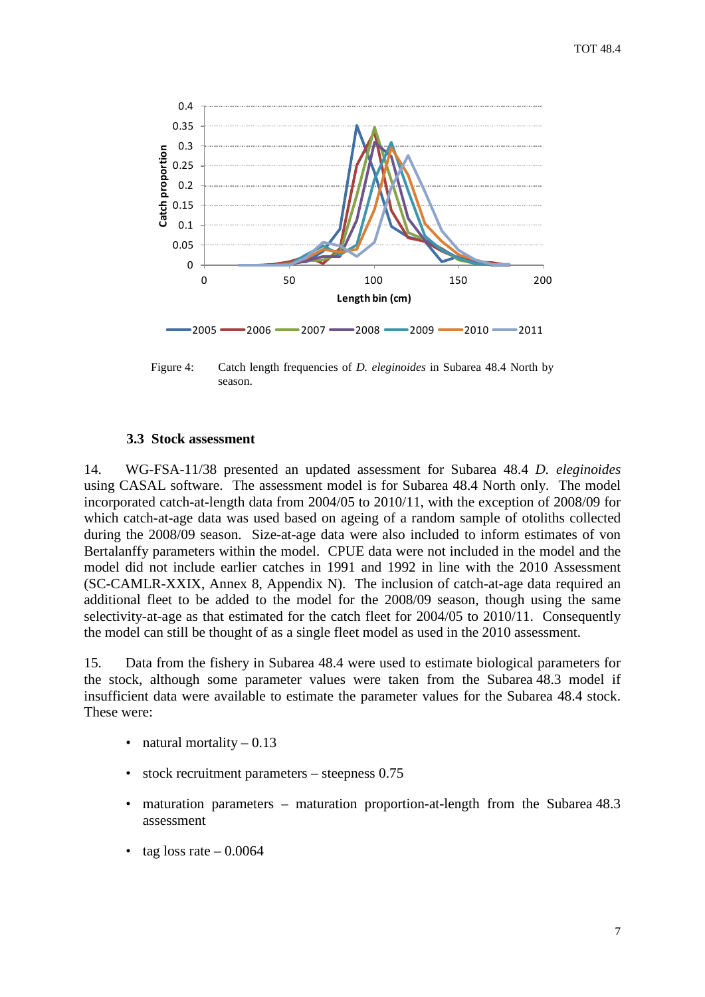

Figure 4: Catch length frequencies of *D. eleginoides* in Subarea 48.4 North by season.

#### **3.3 Stock assessment**

14. WG-FSA-11/38 presented an updated assessment for Subarea 48.4 *D. eleginoides* using CASAL software. The assessment model is for Subarea 48.4 North only. The model incorporated catch-at-length data from 2004/05 to 2010/11, with the exception of 2008/09 for which catch-at-age data was used based on ageing of a random sample of otoliths collected during the 2008/09 season. Size-at-age data were also included to inform estimates of von Bertalanffy parameters within the model. CPUE data were not included in the model and the model did not include earlier catches in 1991 and 1992 in line with the 2010 Assessment (SC-CAMLR-XXIX, Annex 8, Appendix N). The inclusion of catch-at-age data required an additional fleet to be added to the model for the 2008/09 season, though using the same selectivity-at-age as that estimated for the catch fleet for 2004/05 to 2010/11. Consequently the model can still be thought of as a single fleet model as used in the 2010 assessment.

15. Data from the fishery in Subarea 48.4 were used to estimate biological parameters for the stock, although some parameter values were taken from the Subarea 48.3 model if insufficient data were available to estimate the parameter values for the Subarea 48.4 stock. These were:

- natural mortality  $-0.13$
- stock recruitment parameters steepness 0.75
- maturation parameters maturation proportion-at-length from the Subarea 48.3 assessment
- tag loss rate  $-0.0064$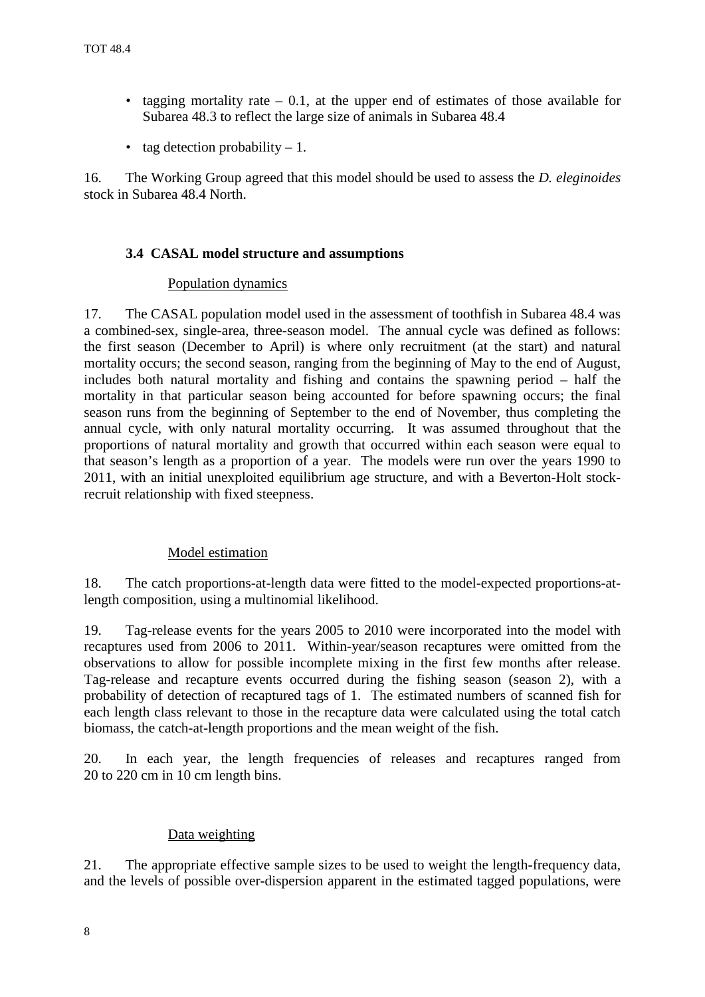- tagging mortality rate  $-0.1$ , at the upper end of estimates of those available for Subarea 48.3 to reflect the large size of animals in Subarea 48.4
- tag detection probability  $-1$ .

16. The Working Group agreed that this model should be used to assess the *D. eleginoides* stock in Subarea 48.4 North.

## **3.4 CASAL model structure and assumptions**

## Population dynamics

17. The CASAL population model used in the assessment of toothfish in Subarea 48.4 was a combined-sex, single-area, three-season model. The annual cycle was defined as follows: the first season (December to April) is where only recruitment (at the start) and natural mortality occurs; the second season, ranging from the beginning of May to the end of August, includes both natural mortality and fishing and contains the spawning period – half the mortality in that particular season being accounted for before spawning occurs; the final season runs from the beginning of September to the end of November, thus completing the annual cycle, with only natural mortality occurring. It was assumed throughout that the proportions of natural mortality and growth that occurred within each season were equal to that season's length as a proportion of a year. The models were run over the years 1990 to 2011, with an initial unexploited equilibrium age structure, and with a Beverton-Holt stockrecruit relationship with fixed steepness.

## Model estimation

18. The catch proportions-at-length data were fitted to the model-expected proportions-atlength composition, using a multinomial likelihood.

19. Tag-release events for the years 2005 to 2010 were incorporated into the model with recaptures used from 2006 to 2011. Within-year/season recaptures were omitted from the observations to allow for possible incomplete mixing in the first few months after release. Tag-release and recapture events occurred during the fishing season (season 2), with a probability of detection of recaptured tags of 1. The estimated numbers of scanned fish for each length class relevant to those in the recapture data were calculated using the total catch biomass, the catch-at-length proportions and the mean weight of the fish.

20. In each year, the length frequencies of releases and recaptures ranged from 20 to 220 cm in 10 cm length bins.

## Data weighting

21. The appropriate effective sample sizes to be used to weight the length-frequency data, and the levels of possible over-dispersion apparent in the estimated tagged populations, were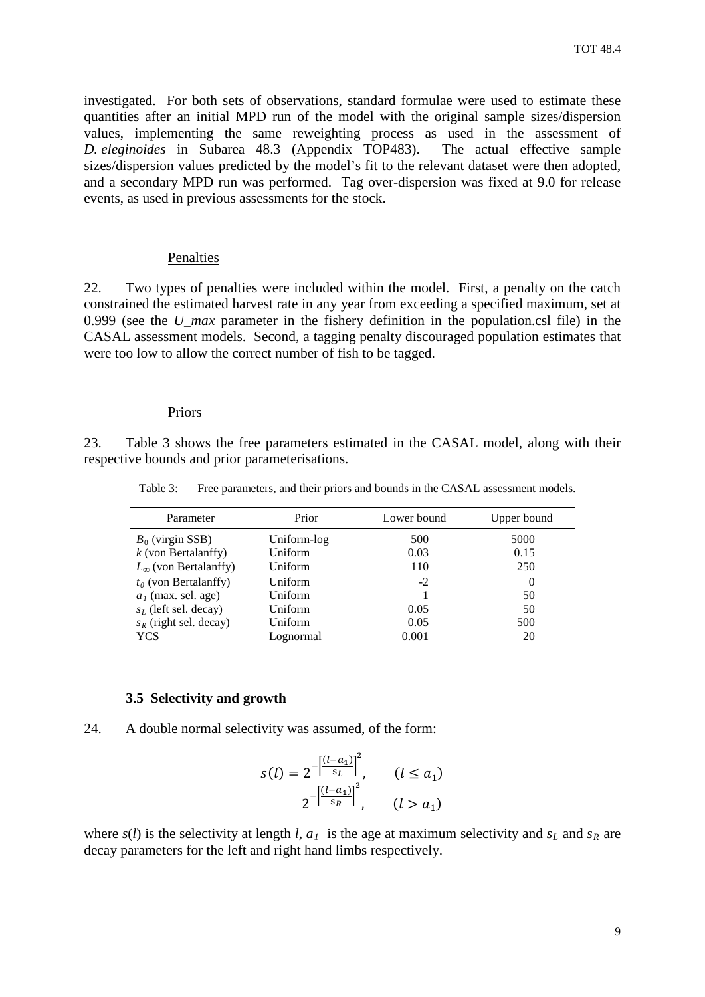investigated. For both sets of observations, standard formulae were used to estimate these quantities after an initial MPD run of the model with the original sample sizes/dispersion values, implementing the same reweighting process as used in the assessment of *D. eleginoides* in Subarea 48.3 (Appendix TOP483). The actual effective sample sizes/dispersion values predicted by the model's fit to the relevant dataset were then adopted, and a secondary MPD run was performed. Tag over-dispersion was fixed at 9.0 for release events, as used in previous assessments for the stock.

#### Penalties

22. Two types of penalties were included within the model. First, a penalty on the catch constrained the estimated harvest rate in any year from exceeding a specified maximum, set at 0.999 (see the *U\_max* parameter in the fishery definition in the population.csl file) in the CASAL assessment models. Second, a tagging penalty discouraged population estimates that were too low to allow the correct number of fish to be tagged.

#### Priors

23. Table 3 shows the free parameters estimated in the CASAL model, along with their respective bounds and prior parameterisations.

Table 3: Free parameters, and their priors and bounds in the CASAL assessment models.

| Prior<br>Parameter                                                                                            |                                                       | Lower bound                   | Upper bound                       |
|---------------------------------------------------------------------------------------------------------------|-------------------------------------------------------|-------------------------------|-----------------------------------|
| $B_0$ (virgin SSB)<br>$k$ (von Bertalanffy)<br>$L_{\infty}$ (von Bertalanffy)                                 | Uniform-log<br>Uniform<br>Uniform                     | 500<br>0.03<br>110            | 5000<br>0.15<br>250               |
| $t_0$ (von Bertalanffy)<br>$a1$ (max. sel. age)<br>$s_L$ (left sel. decay)<br>$s_R$ (right sel. decay)<br>YCS | Uniform<br>Uniform<br>Uniform<br>Uniform<br>Lognormal | $-2$<br>0.05<br>0.05<br>0.001 | $\theta$<br>50<br>50<br>500<br>20 |

#### **3.5 Selectivity and growth**

24. A double normal selectivity was assumed, of the form:

$$
s(l) = 2^{-\left[\frac{(l-a_1)}{s_L}\right]^2}, \qquad (l \le a_1)
$$
  

$$
2^{-\left[\frac{(l-a_1)}{s_R}\right]^2}, \qquad (l > a_1)
$$

where  $s(l)$  is the selectivity at length *l*,  $a_l$  is the age at maximum selectivity and  $s_l$  and  $s_R$  are decay parameters for the left and right hand limbs respectively.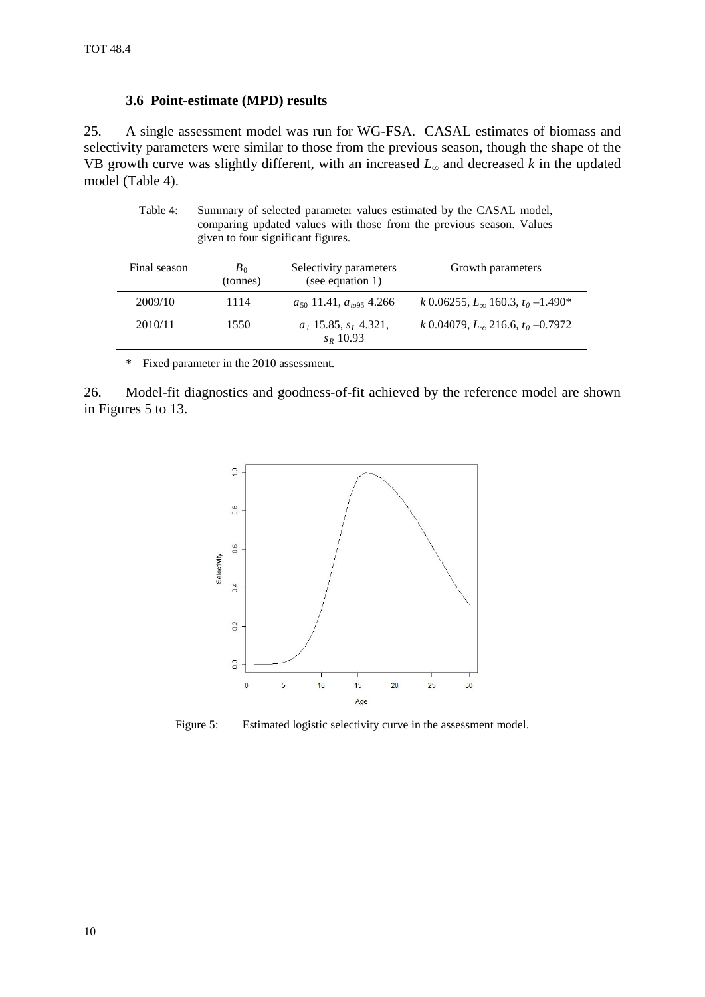#### **3.6 Point-estimate (MPD) results**

25. A single assessment model was run for WG-FSA. CASAL estimates of biomass and selectivity parameters were similar to those from the previous season, though the shape of the VB growth curve was slightly different, with an increased *L*<sup>∞</sup> and decreased *k* in the updated model (Table 4).

Table 4: Summary of selected parameter values estimated by the CASAL model, comparing updated values with those from the previous season. Values given to four significant figures.

| Final season | $B_0$<br>(tonnes) | Selectivity parameters<br>(see equation 1) | Growth parameters                            |
|--------------|-------------------|--------------------------------------------|----------------------------------------------|
| 2009/10      | 1114              | $a_{50}$ 11.41, $a_{t095}$ 4.266           | k 0.06255, $L_{\infty}$ 160.3, $t_0$ –1.490* |
| 2010/11      | 1550              | $a_1$ 15.85, $s_L$ 4.321,<br>$S_R$ 10.93   | k 0.04079, $L_{\infty}$ 216.6, $t_0$ –0.7972 |

\* Fixed parameter in the 2010 assessment.

26. Model-fit diagnostics and goodness-of-fit achieved by the reference model are shown in Figures 5 to 13.



Figure 5: Estimated logistic selectivity curve in the assessment model.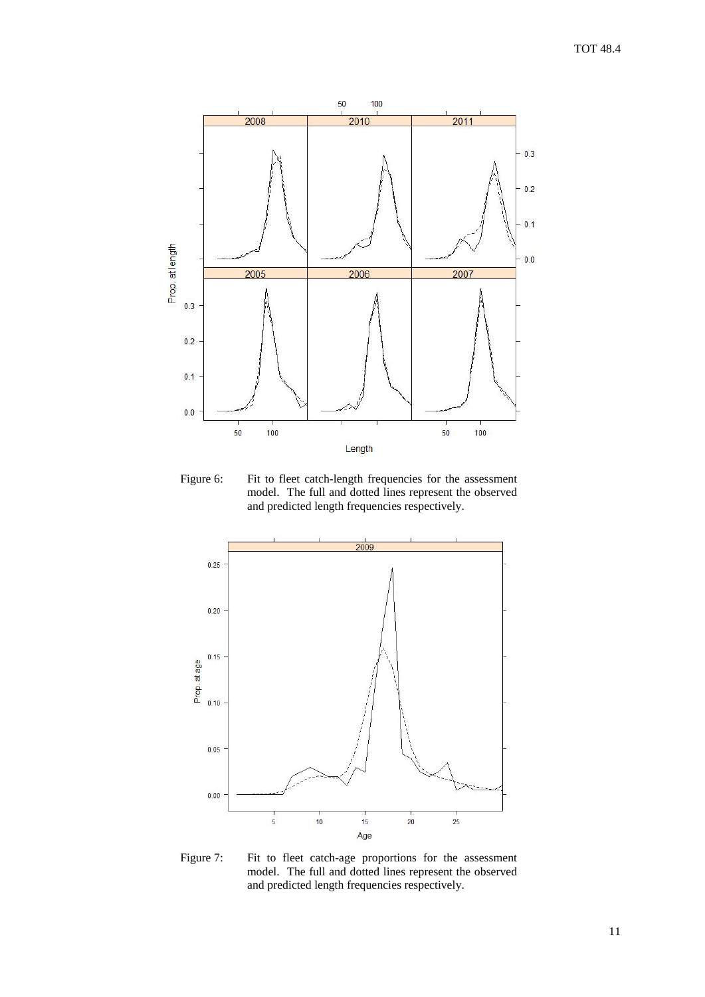

Figure 6: Fit to fleet catch-length frequencies for the assessment model. The full and dotted lines represent the observed and predicted length frequencies respectively.



Figure 7: Fit to fleet catch-age proportions for the assessment model. The full and dotted lines represent the observed and predicted length frequencies respectively.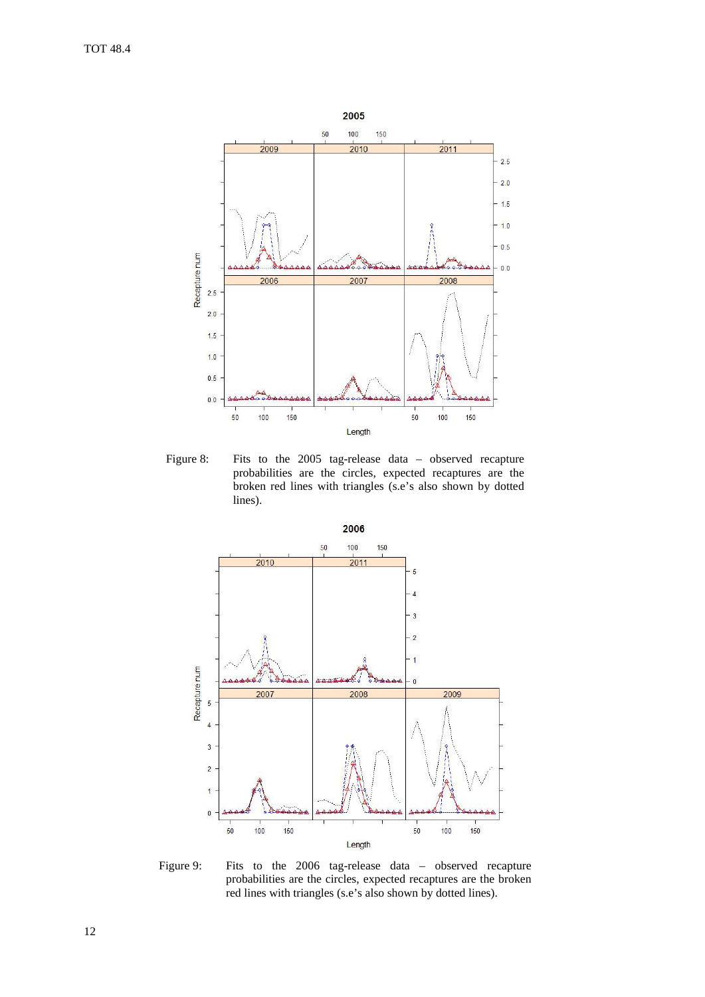

Figure 8: Fits to the 2005 tag-release data – observed recapture probabilities are the circles, expected recaptures are the broken red lines with triangles (s.e's also shown by dotted lines).



Figure 9: Fits to the 2006 tag-release data – observed recapture probabilities are the circles, expected recaptures are the broken red lines with triangles (s.e's also shown by dotted lines).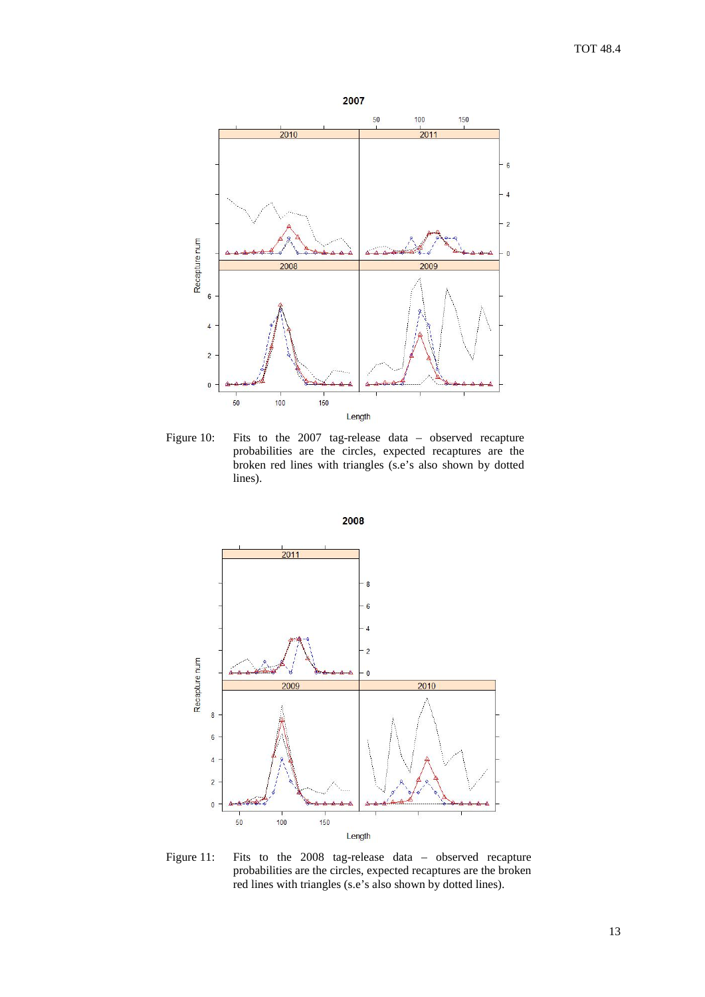

Figure 10: Fits to the 2007 tag-release data – observed recapture probabilities are the circles, expected recaptures are the broken red lines with triangles (s.e's also shown by dotted lines).





Figure 11: Fits to the 2008 tag-release data – observed recapture probabilities are the circles, expected recaptures are the broken red lines with triangles (s.e's also shown by dotted lines).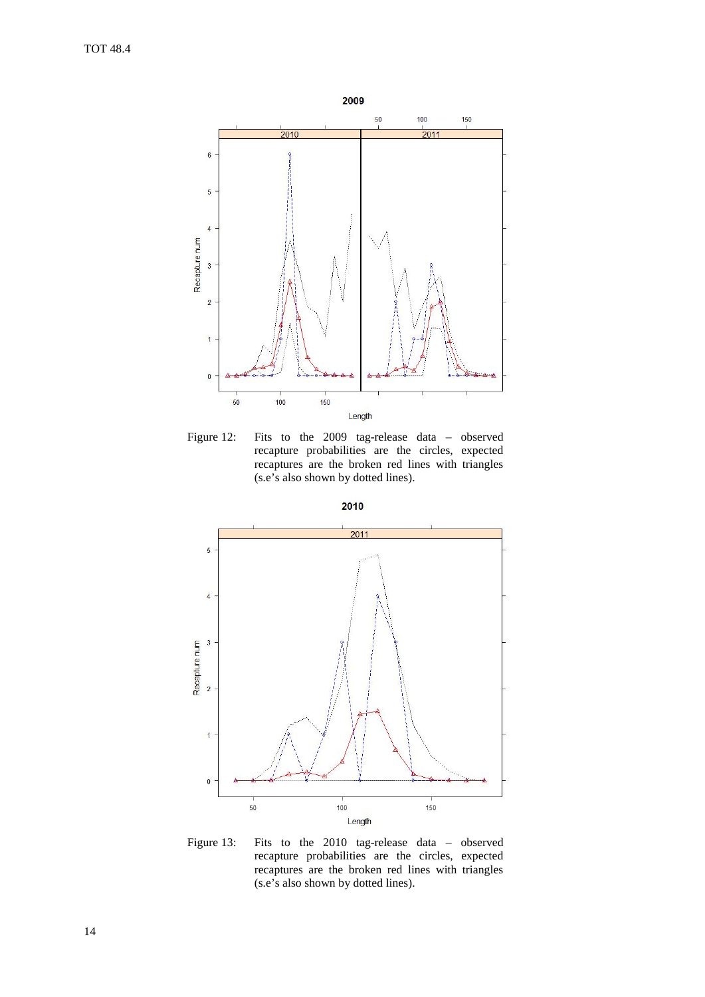

Figure 12: Fits to the 2009 tag-release data – observed recapture probabilities are the circles, expected recaptures are the broken red lines with triangles (s.e's also shown by dotted lines).



Figure 13: Fits to the 2010 tag-release data – observed recapture probabilities are the circles, expected recaptures are the broken red lines with triangles (s.e's also shown by dotted lines).

2010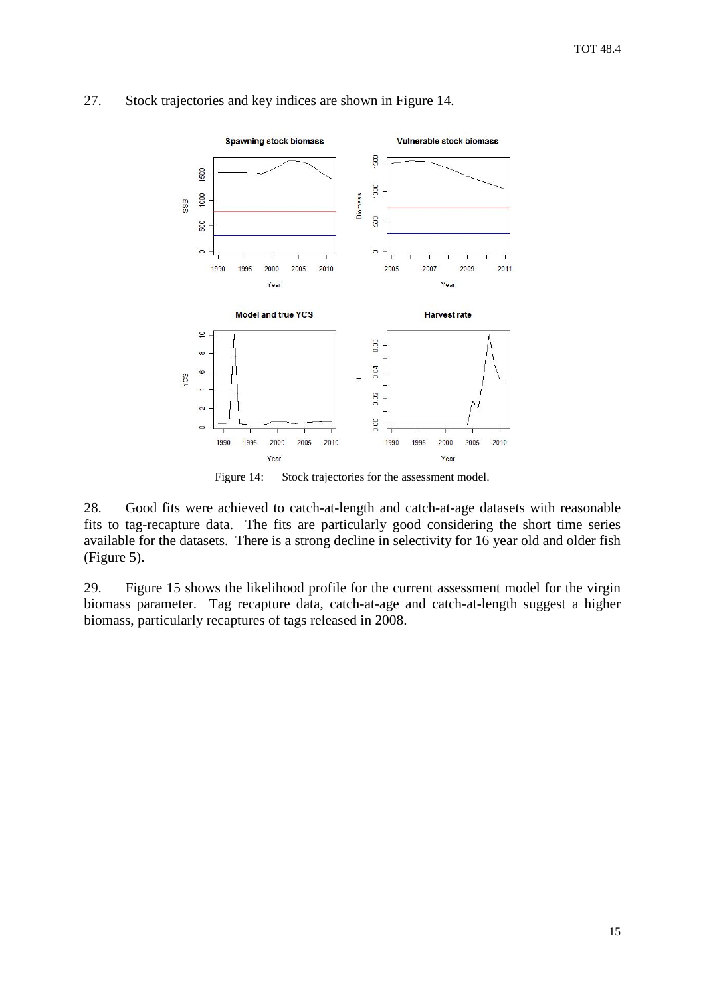

## 27. Stock trajectories and key indices are shown in Figure 14.

Figure 14: Stock trajectories for the assessment model.

28. Good fits were achieved to catch-at-length and catch-at-age datasets with reasonable fits to tag-recapture data. The fits are particularly good considering the short time series available for the datasets. There is a strong decline in selectivity for 16 year old and older fish (Figure 5).

29. Figure 15 shows the likelihood profile for the current assessment model for the virgin biomass parameter. Tag recapture data, catch-at-age and catch-at-length suggest a higher biomass, particularly recaptures of tags released in 2008.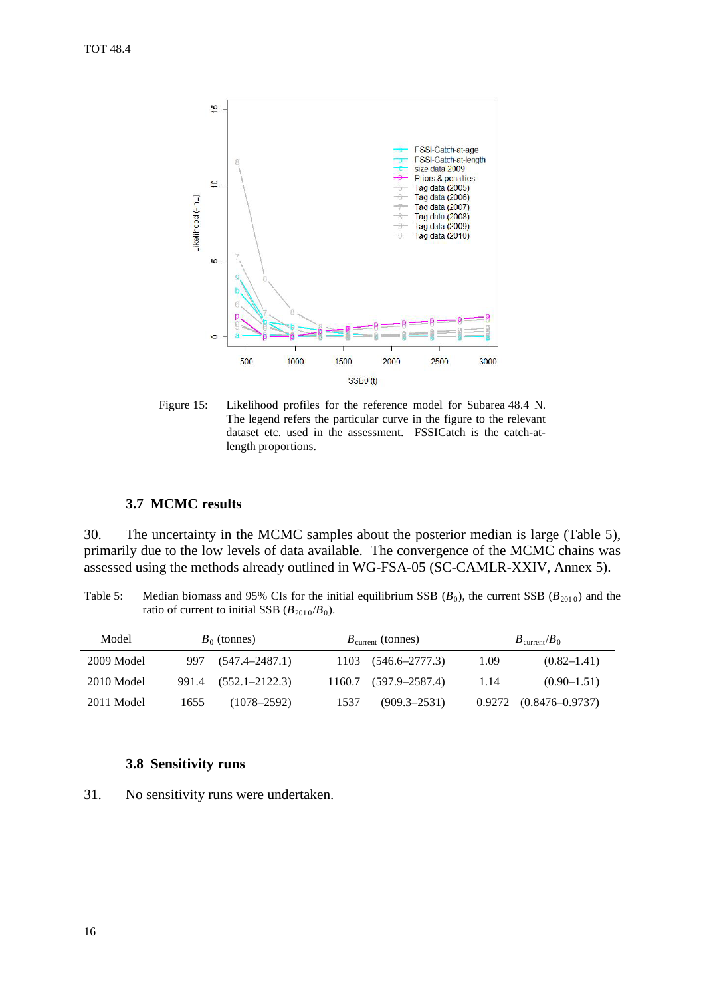

Figure 15: Likelihood profiles for the reference model for Subarea 48.4 N. The legend refers the particular curve in the figure to the relevant dataset etc. used in the assessment. FSSICatch is the catch-atlength proportions.

#### **3.7 MCMC results**

30. The uncertainty in the MCMC samples about the posterior median is large (Table 5), primarily due to the low levels of data available. The convergence of the MCMC chains was assessed using the methods already outlined in WG-FSA-05 (SC-CAMLR-XXIV, Annex 5).

Table 5: Median biomass and 95% CIs for the initial equilibrium SSB  $(B_0)$ , the current SSB  $(B_{2010})$  and the ratio of current to initial SSB  $(B_{2010}/B_0)$ .

| Model      | $B_0$ (tonnes) |                      |      | $B_{\text{current}}$ (tonnes) |      | $B_{\text{current}}/B_0$     |  |
|------------|----------------|----------------------|------|-------------------------------|------|------------------------------|--|
| 2009 Model |                | 997 (547.4–2487.1)   |      | $1103$ $(546.6 - 2777.3)$     | 1.09 | $(0.82 - 1.41)$              |  |
| 2010 Model |                | 991.4 (552.1–2122.3) |      | $1160.7$ $(597.9-2587.4)$     | 1.14 | $(0.90 - 1.51)$              |  |
| 2011 Model | 1655           | $(1078 - 2592)$      | 1537 | $(909.3 - 2531)$              |      | $0.9272$ $(0.8476 - 0.9737)$ |  |

#### **3.8 Sensitivity runs**

31. No sensitivity runs were undertaken.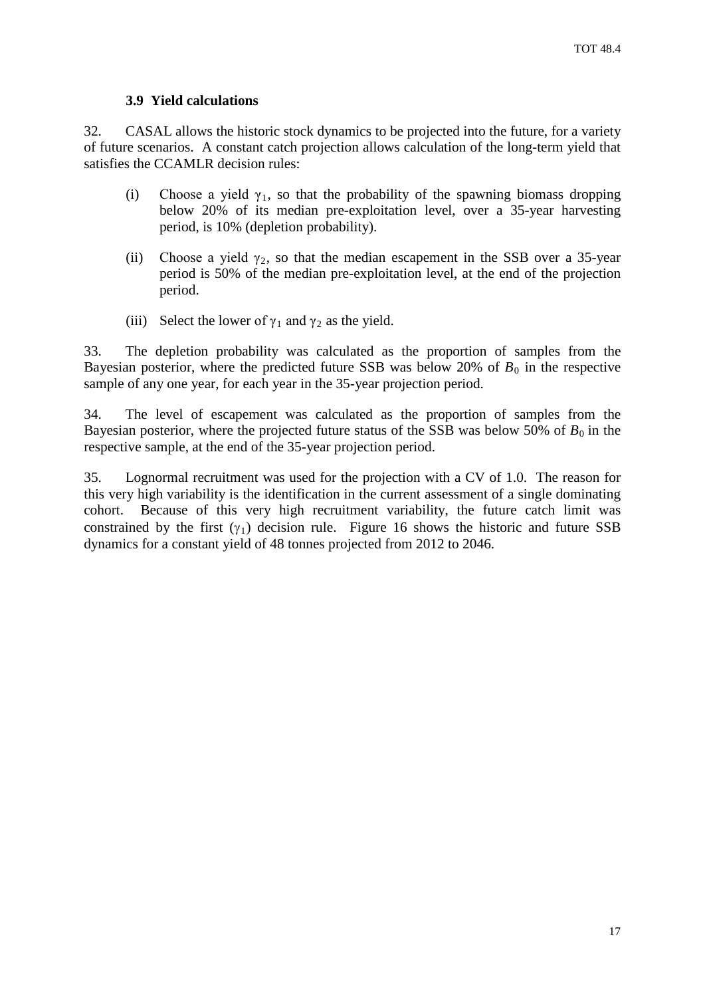#### **3.9 Yield calculations**

32. CASAL allows the historic stock dynamics to be projected into the future, for a variety of future scenarios. A constant catch projection allows calculation of the long-term yield that satisfies the CCAMLR decision rules:

- (i) Choose a yield  $\gamma_1$ , so that the probability of the spawning biomass dropping below 20% of its median pre-exploitation level, over a 35-year harvesting period, is 10% (depletion probability).
- (ii) Choose a yield  $\gamma_2$ , so that the median escapement in the SSB over a 35-year period is 50% of the median pre-exploitation level, at the end of the projection period.
- (iii) Select the lower of  $\gamma_1$  and  $\gamma_2$  as the yield.

33. The depletion probability was calculated as the proportion of samples from the Bayesian posterior, where the predicted future SSB was below 20% of  $B_0$  in the respective sample of any one year, for each year in the 35-year projection period.

34. The level of escapement was calculated as the proportion of samples from the Bayesian posterior, where the projected future status of the SSB was below 50% of  $B_0$  in the respective sample, at the end of the 35-year projection period.

35. Lognormal recruitment was used for the projection with a CV of 1.0. The reason for this very high variability is the identification in the current assessment of a single dominating cohort. Because of this very high recruitment variability, the future catch limit was constrained by the first  $(\gamma_1)$  decision rule. Figure 16 shows the historic and future SSB dynamics for a constant yield of 48 tonnes projected from 2012 to 2046.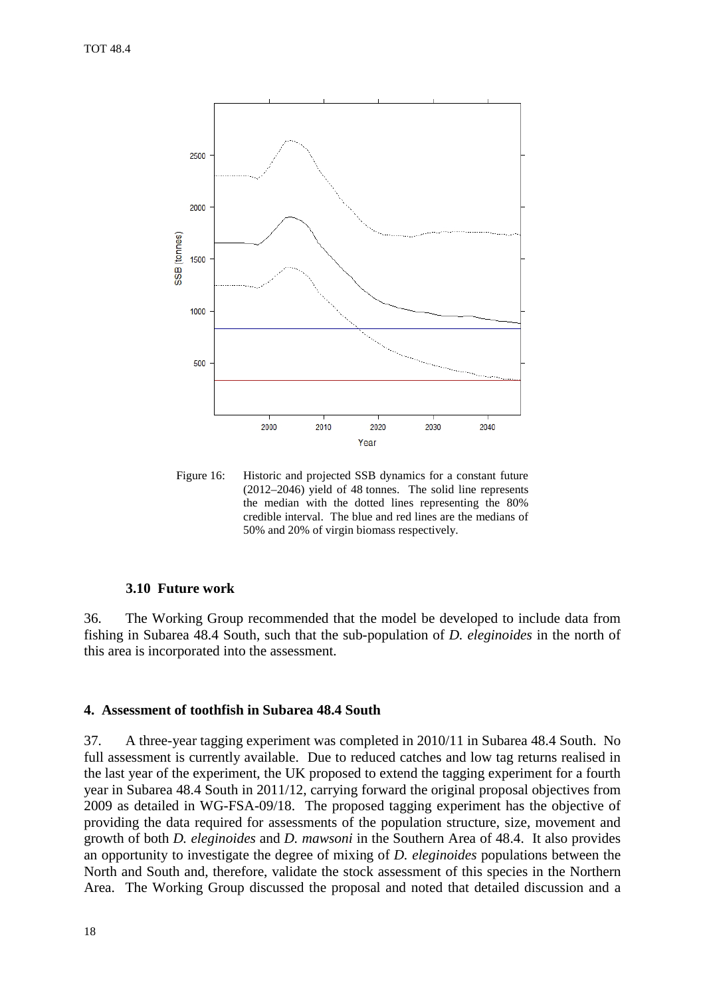<span id="page-19-0"></span>

Figure 16: Historic and projected SSB dynamics for a constant future (2012–2046) yield of 48 tonnes. The solid line represents the median with the dotted lines representing the 80% credible interval. The blue and red lines are the medians of 50% and 20% of virgin biomass respectively.

#### **3.10 Future work**

36. The Working Group recommended that the model be developed to include data from fishing in Subarea 48.4 South, such that the sub-population of *D. eleginoides* in the north of this area is incorporated into the assessment.

#### **4. Assessment of toothfish in Subarea 48.4 South**

37. A three-year tagging experiment was completed in 2010/11 in Subarea 48.4 South. No full assessment is currently available. Due to reduced catches and low tag returns realised in the last year of the experiment, the UK proposed to extend the tagging experiment for a fourth year in Subarea 48.4 South in 2011/12, carrying forward the original proposal objectives from 2009 as detailed in WG-FSA-09/18. The proposed tagging experiment has the objective of providing the data required for assessments of the population structure, size, movement and growth of both *D. eleginoides* and *D. mawsoni* in the Southern Area of 48.4. It also provides an opportunity to investigate the degree of mixing of *D. eleginoides* populations between the North and South and, therefore, validate the stock assessment of this species in the Northern Area. The Working Group discussed the proposal and noted that detailed discussion and a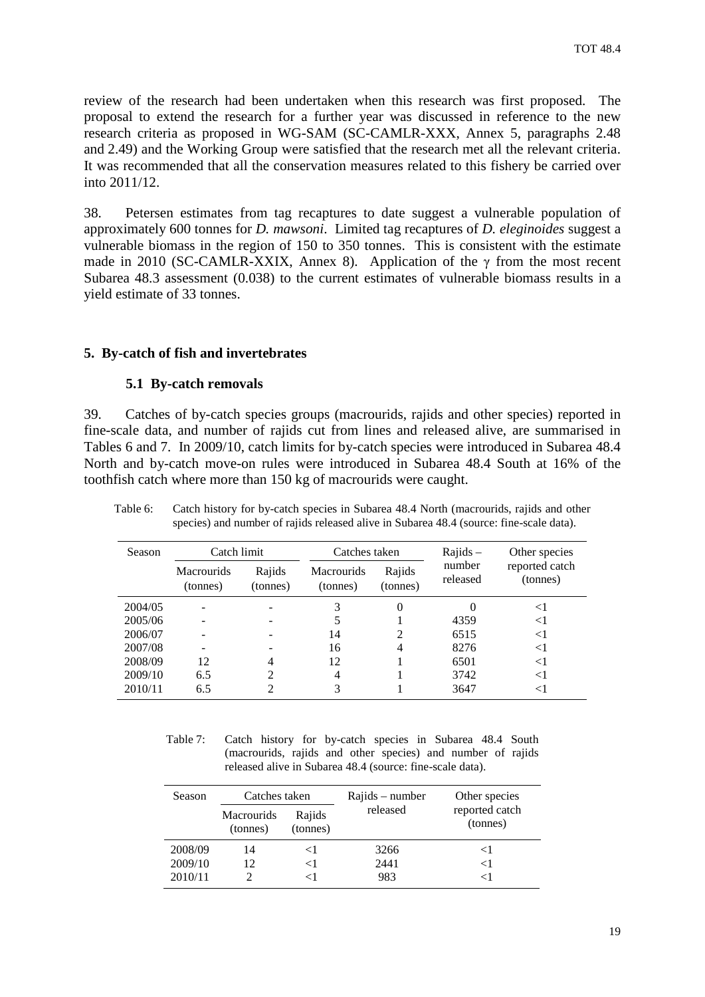<span id="page-20-0"></span>review of the research had been undertaken when this research was first proposed. The proposal to extend the research for a further year was discussed in reference to the new research criteria as proposed in WG-SAM (SC-CAMLR-XXX, Annex 5, paragraphs 2.48 and 2.49) and the Working Group were satisfied that the research met all the relevant criteria. It was recommended that all the conservation measures related to this fishery be carried over into 2011/12.

38. Petersen estimates from tag recaptures to date suggest a vulnerable population of approximately 600 tonnes for *D. mawsoni*. Limited tag recaptures of *D. eleginoides* suggest a vulnerable biomass in the region of 150 to 350 tonnes. This is consistent with the estimate made in 2010 (SC-CAMLR-XXIX, Annex 8). Application of the  $\gamma$  from the most recent Subarea 48.3 assessment (0.038) to the current estimates of vulnerable biomass results in a yield estimate of 33 tonnes.

## **5. By-catch of fish and invertebrates**

## **5.1 By-catch removals**

39. Catches of by-catch species groups (macrourids, rajids and other species) reported in fine-scale data, and number of rajids cut from lines and released alive, are summarised in Tables 6 and 7. In 2009/10, catch limits for by-catch species were introduced in Subarea 48.4 North and by-catch move-on rules were introduced in Subarea 48.4 South at 16% of the toothfish catch where more than 150 kg of macrourids were caught.

| Season  | Catch limit                   |                    | Catches taken                 |                    | $Rajids -$         | Other species              |
|---------|-------------------------------|--------------------|-------------------------------|--------------------|--------------------|----------------------------|
|         | <b>Macrourids</b><br>(tonnes) | Rajids<br>(tonnes) | <b>Macrourids</b><br>(tonnes) | Rajids<br>(tonnes) | number<br>released | reported catch<br>(tonnes) |
| 2004/05 |                               |                    | 3                             | $\theta$           |                    | $\leq$ 1                   |
| 2005/06 |                               |                    |                               |                    | 4359               | $\leq$ 1                   |
| 2006/07 |                               |                    | 14                            | 2                  | 6515               | <1                         |
| 2007/08 |                               |                    | 16                            | 4                  | 8276               | <1                         |
| 2008/09 | 12                            |                    | 12                            |                    | 6501               | $\leq$ 1                   |
| 2009/10 | 6.5                           | 2                  | 4                             |                    | 3742               | <1                         |
| 2010/11 | 6.5                           |                    | 3                             |                    | 3647               |                            |

Table 6: Catch history for by-catch species in Subarea 48.4 North (macrourids, rajids and other species) and number of rajids released alive in Subarea 48.4 (source: fine-scale data).

Table 7: Catch history for by-catch species in Subarea 48.4 South (macrourids, rajids and other species) and number of rajids released alive in Subarea 48.4 (source: fine-scale data).

| Season  | Catches taken                 |                    | Rajids – number | Other species              |
|---------|-------------------------------|--------------------|-----------------|----------------------------|
|         | <b>Macrourids</b><br>(tonnes) | Rajids<br>(tonnes) | released        | reported catch<br>(tonnes) |
| 2008/09 | 14                            |                    | 3266            | $<$ 1                      |
| 2009/10 | 12                            | ا >                | 2441            | $<$ 1                      |
| 2010/11 |                               |                    | 983             | ←1                         |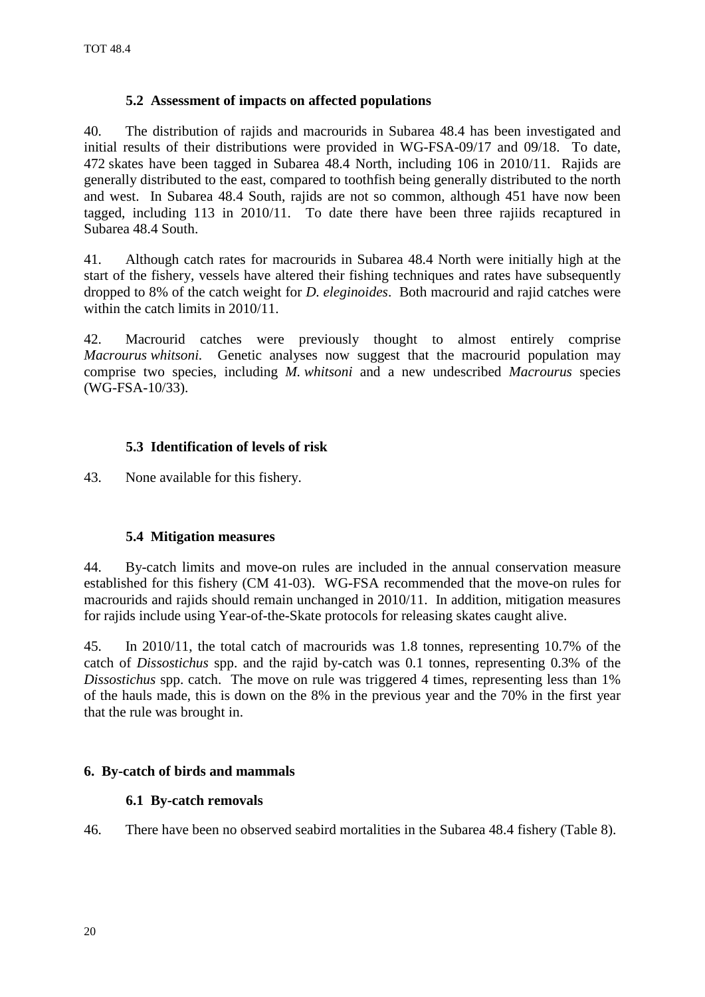# **5.2 Assessment of impacts on affected populations**

<span id="page-21-0"></span>40. The distribution of rajids and macrourids in Subarea 48.4 has been investigated and initial results of their distributions were provided in WG-FSA-09/17 and 09/18. To date, 472 skates have been tagged in Subarea 48.4 North, including 106 in 2010/11. Rajids are generally distributed to the east, compared to toothfish being generally distributed to the north and west. In Subarea 48.4 South, rajids are not so common, although 451 have now been tagged, including 113 in 2010/11. To date there have been three rajiids recaptured in Subarea 48.4 South.

41. Although catch rates for macrourids in Subarea 48.4 North were initially high at the start of the fishery, vessels have altered their fishing techniques and rates have subsequently dropped to 8% of the catch weight for *D. eleginoides*. Both macrourid and rajid catches were within the catch limits in 2010/11.

42. Macrourid catches were previously thought to almost entirely comprise *Macrourus whitsoni.* Genetic analyses now suggest that the macrourid population may comprise two species, including *M. whitsoni* and a new undescribed *Macrourus* species (WG-FSA-10/33).

# **5.3 Identification of levels of risk**

43. None available for this fishery.

# **5.4 Mitigation measures**

44. By-catch limits and move-on rules are included in the annual conservation measure established for this fishery (CM 41-03). WG-FSA recommended that the move-on rules for macrourids and rajids should remain unchanged in 2010/11. In addition, mitigation measures for rajids include using Year-of-the-Skate protocols for releasing skates caught alive.

45. In 2010/11, the total catch of macrourids was 1.8 tonnes, representing 10.7% of the catch of *Dissostichus* spp. and the rajid by-catch was 0.1 tonnes, representing 0.3% of the *Dissostichus* spp. catch. The move on rule was triggered 4 times, representing less than 1% of the hauls made, this is down on the 8% in the previous year and the 70% in the first year that the rule was brought in.

# **6. By-catch of birds and mammals**

# **6.1 By-catch removals**

46. There have been no observed seabird mortalities in the Subarea 48.4 fishery (Table 8).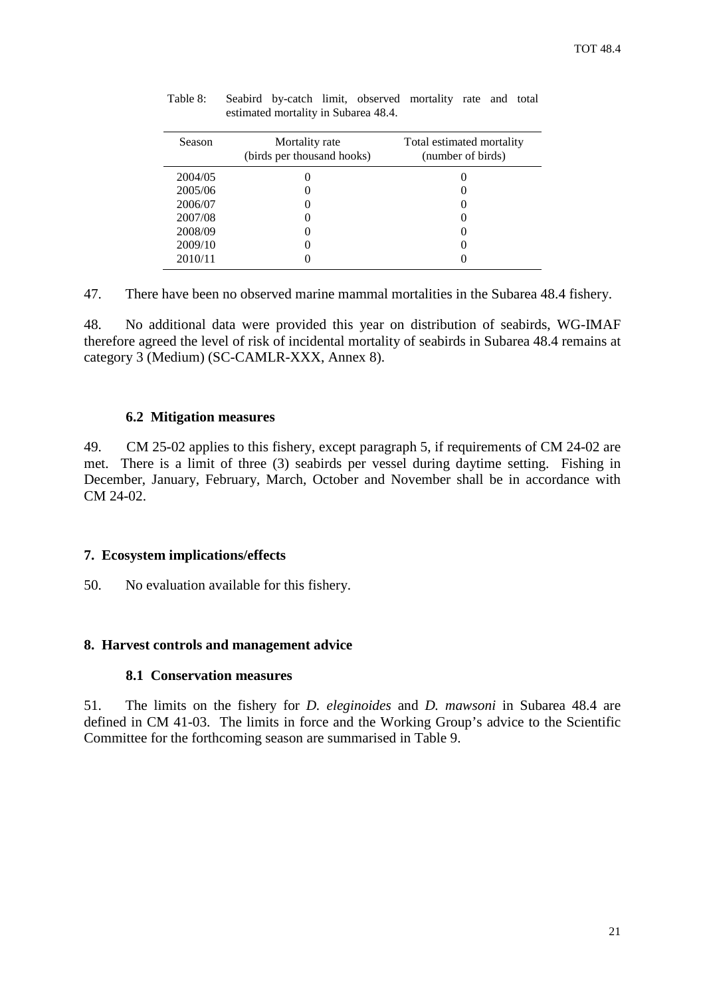| Season  | Mortality rate<br>(birds per thousand hooks) | Total estimated mortality<br>(number of birds) |
|---------|----------------------------------------------|------------------------------------------------|
| 2004/05 |                                              |                                                |
| 2005/06 | 0                                            |                                                |
| 2006/07 | 0                                            |                                                |
| 2007/08 | 0                                            |                                                |
| 2008/09 | 0                                            |                                                |
| 2009/10 | 0                                            |                                                |
| 2010/11 |                                              |                                                |
|         |                                              |                                                |

<span id="page-22-0"></span>Table 8: Seabird by-catch limit, observed mortality rate and total estimated mortality in Subarea 48.4.

47. There have been no observed marine mammal mortalities in the Subarea 48.4 fishery.

48. No additional data were provided this year on distribution of seabirds, WG-IMAF therefore agreed the level of risk of incidental mortality of seabirds in Subarea 48.4 remains at category 3 (Medium) (SC-CAMLR-XXX, Annex 8).

#### **6.2 Mitigation measures**

49. CM 25-02 applies to this fishery, except paragraph 5, if requirements of CM 24-02 are met. There is a limit of three (3) seabirds per vessel during daytime setting. Fishing in December, January, February, March, October and November shall be in accordance with CM 24-02.

## **7. Ecosystem implications/effects**

50. No evaluation available for this fishery.

# **8. Harvest controls and management advice**

## **8.1 Conservation measures**

51. The limits on the fishery for *D. eleginoides* and *D. mawsoni* in Subarea 48.4 are defined in CM 41-03. The limits in force and the Working Group's advice to the Scientific Committee for the forthcoming season are summarised in Table 9.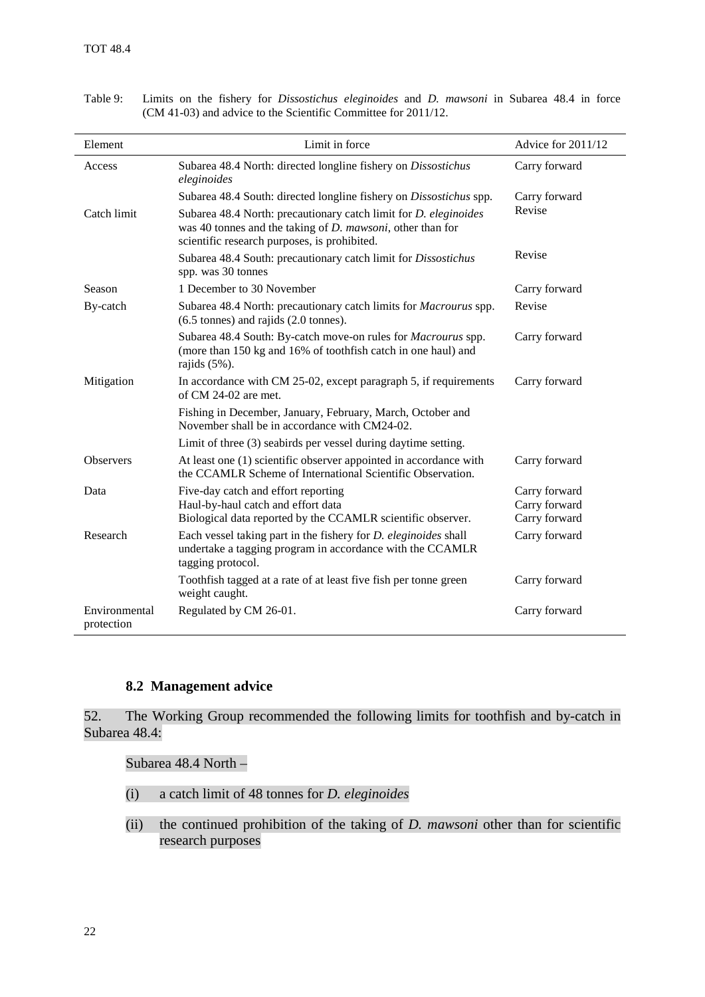$\mathbf{r}$ 

| Element                     | Limit in force                                                                                                                                                                           | Advice for 2011/12      |
|-----------------------------|------------------------------------------------------------------------------------------------------------------------------------------------------------------------------------------|-------------------------|
| Access                      | Subarea 48.4 North: directed longline fishery on Dissostichus<br>eleginoides                                                                                                             | Carry forward           |
|                             | Subarea 48.4 South: directed longline fishery on Dissostichus spp.                                                                                                                       | Carry forward<br>Revise |
| Catch limit                 | Subarea 48.4 North: precautionary catch limit for <i>D. eleginoides</i><br>was 40 tonnes and the taking of $D$ . mawsoni, other than for<br>scientific research purposes, is prohibited. |                         |
|                             | Subarea 48.4 South: precautionary catch limit for Dissostichus<br>spp. was 30 tonnes                                                                                                     | Revise                  |
| Season                      | 1 December to 30 November                                                                                                                                                                | Carry forward           |
| By-catch                    | Subarea 48.4 North: precautionary catch limits for <i>Macrourus</i> spp.<br>$(6.5 \text{ tonnes})$ and rajids $(2.0 \text{ tonnes})$ .                                                   | Revise                  |
|                             | Subarea 48.4 South: By-catch move-on rules for Macrourus spp.<br>(more than 150 kg and 16% of toothfish catch in one haul) and<br>rajids $(5\%)$ .                                       | Carry forward           |
| Mitigation                  | In accordance with CM 25-02, except paragraph 5, if requirements<br>of $CM$ 24-02 are met.                                                                                               | Carry forward           |
|                             | Fishing in December, January, February, March, October and<br>November shall be in accordance with CM24-02.                                                                              |                         |
|                             | Limit of three (3) seabirds per vessel during daytime setting.                                                                                                                           |                         |
| <b>Observers</b>            | At least one (1) scientific observer appointed in accordance with<br>the CCAMLR Scheme of International Scientific Observation.                                                          | Carry forward           |
| Data                        | Five-day catch and effort reporting                                                                                                                                                      | Carry forward           |
|                             | Haul-by-haul catch and effort data                                                                                                                                                       | Carry forward           |
|                             | Biological data reported by the CCAMLR scientific observer.                                                                                                                              | Carry forward           |
| Research                    | Each vessel taking part in the fishery for <i>D. eleginoides</i> shall<br>undertake a tagging program in accordance with the CCAMLR<br>tagging protocol.                                 | Carry forward           |
|                             | Toothfish tagged at a rate of at least five fish per tonne green<br>weight caught.                                                                                                       | Carry forward           |
| Environmental<br>protection | Regulated by CM 26-01.                                                                                                                                                                   | Carry forward           |

Table 9: Limits on the fishery for *Dissostichus eleginoides* and *D. mawsoni* in Subarea 48.4 in force (CM 41-03) and advice to the Scientific Committee for 2011/12.

## **8.2 Management advice**

52. The Working Group recommended the following limits for toothfish and by-catch in Subarea 48.4:

Subarea 48.4 North –

- (i) a catch limit of 48 tonnes for *D. eleginoides*
- (ii) the continued prohibition of the taking of *D. mawsoni* other than for scientific research purposes